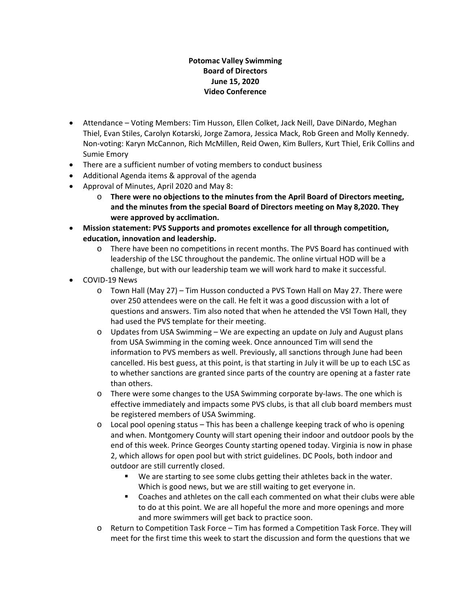#### **Potomac Valley Swimming Board of Directors June 15, 2020 Video Conference**

- Attendance Voting Members: Tim Husson, Ellen Colket, Jack Neill, Dave DiNardo, Meghan Thiel, Evan Stiles, Carolyn Kotarski, Jorge Zamora, Jessica Mack, Rob Green and Molly Kennedy. Non-voting: Karyn McCannon, Rich McMillen, Reid Owen, Kim Bullers, Kurt Thiel, Erik Collins and Sumie Emory
- There are a sufficient number of voting members to conduct business
- Additional Agenda items & approval of the agenda
- Approval of Minutes, April 2020 and May 8:
	- o **There were no objections to the minutes from the April Board of Directors meeting, and the minutes from the special Board of Directors meeting on May 8,2020. They were approved by acclimation.**
- **Mission statement: PVS Supports and promotes excellence for all through competition, education, innovation and leadership.**
	- o There have been no competitions in recent months. The PVS Board has continued with leadership of the LSC throughout the pandemic. The online virtual HOD will be a challenge, but with our leadership team we will work hard to make it successful.
- COVID-19 News
	- o Town Hall (May 27) Tim Husson conducted a PVS Town Hall on May 27. There were over 250 attendees were on the call. He felt it was a good discussion with a lot of questions and answers. Tim also noted that when he attended the VSI Town Hall, they had used the PVS template for their meeting.
	- o Updates from USA Swimming We are expecting an update on July and August plans from USA Swimming in the coming week. Once announced Tim will send the information to PVS members as well. Previously, all sanctions through June had been cancelled. His best guess, at this point, is that starting in July it will be up to each LSC as to whether sanctions are granted since parts of the country are opening at a faster rate than others.
	- o There were some changes to the USA Swimming corporate by-laws. The one which is effective immediately and impacts some PVS clubs, is that all club board members must be registered members of USA Swimming.
	- o Local pool opening status This has been a challenge keeping track of who is opening and when. Montgomery County will start opening their indoor and outdoor pools by the end of this week. Prince Georges County starting opened today. Virginia is now in phase 2, which allows for open pool but with strict guidelines. DC Pools, both indoor and outdoor are still currently closed.
		- We are starting to see some clubs getting their athletes back in the water. Which is good news, but we are still waiting to get everyone in.
		- Coaches and athletes on the call each commented on what their clubs were able to do at this point. We are all hopeful the more and more openings and more and more swimmers will get back to practice soon.
	- o Return to Competition Task Force Tim has formed a Competition Task Force. They will meet for the first time this week to start the discussion and form the questions that we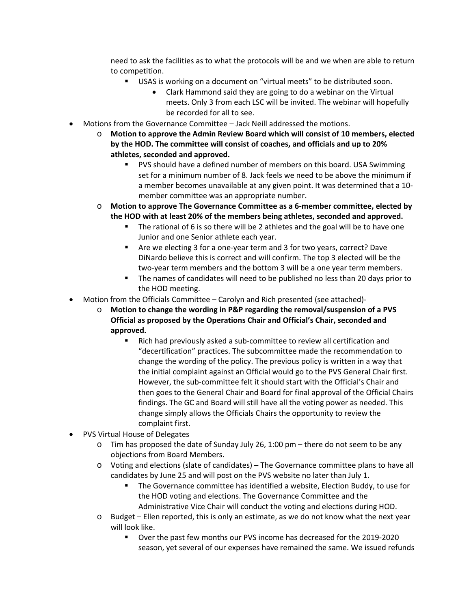need to ask the facilities as to what the protocols will be and we when are able to return to competition.

- USAS is working on a document on "virtual meets" to be distributed soon.
	- Clark Hammond said they are going to do a webinar on the Virtual meets. Only 3 from each LSC will be invited. The webinar will hopefully be recorded for all to see.
- Motions from the Governance Committee Jack Neill addressed the motions.
	- o **Motion to approve the Admin Review Board which will consist of 10 members, elected by the HOD. The committee will consist of coaches, and officials and up to 20% athletes, seconded and approved.** 
		- PVS should have a defined number of members on this board. USA Swimming set for a minimum number of 8. Jack feels we need to be above the minimum if a member becomes unavailable at any given point. It was determined that a 10 member committee was an appropriate number.
	- o **Motion to approve The Governance Committee as a 6-member committee, elected by the HOD with at least 20% of the members being athletes, seconded and approved.**
		- The rational of 6 is so there will be 2 athletes and the goal will be to have one Junior and one Senior athlete each year.
		- Are we electing 3 for a one-year term and 3 for two years, correct? Dave DiNardo believe this is correct and will confirm. The top 3 elected will be the two-year term members and the bottom 3 will be a one year term members.
		- The names of candidates will need to be published no less than 20 days prior to the HOD meeting.
- Motion from the Officials Committee Carolyn and Rich presented (see attached)
	- o **Motion to change the wording in P&P regarding the removal/suspension of a PVS Official as proposed by the Operations Chair and Official's Chair, seconded and approved.**
		- Rich had previously asked a sub-committee to review all certification and "decertification" practices. The subcommittee made the recommendation to change the wording of the policy. The previous policy is written in a way that the initial complaint against an Official would go to the PVS General Chair first. However, the sub-committee felt it should start with the Official's Chair and then goes to the General Chair and Board for final approval of the Official Chairs findings. The GC and Board will still have all the voting power as needed. This change simply allows the Officials Chairs the opportunity to review the complaint first.
- PVS Virtual House of Delegates
	- $\circ$  Tim has proposed the date of Sunday July 26, 1:00 pm there do not seem to be any objections from Board Members.
	- o Voting and elections (slate of candidates) The Governance committee plans to have all candidates by June 25 and will post on the PVS website no later than July 1.
		- The Governance committee has identified a website, Election Buddy, to use for the HOD voting and elections. The Governance Committee and the Administrative Vice Chair will conduct the voting and elections during HOD.
	- o Budget Ellen reported, this is only an estimate, as we do not know what the next year will look like.
		- Over the past few months our PVS income has decreased for the 2019-2020 season, yet several of our expenses have remained the same. We issued refunds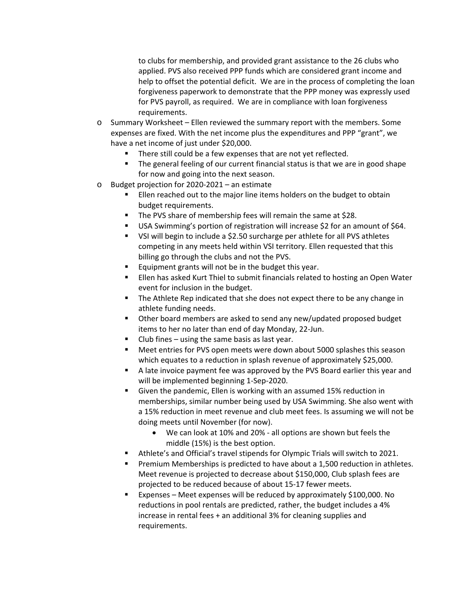to clubs for membership, and provided grant assistance to the 26 clubs who applied. PVS also received PPP funds which are considered grant income and help to offset the potential deficit. We are in the process of completing the loan forgiveness paperwork to demonstrate that the PPP money was expressly used for PVS payroll, as required. We are in compliance with loan forgiveness requirements.

- o Summary Worksheet Ellen reviewed the summary report with the members. Some expenses are fixed. With the net income plus the expenditures and PPP "grant", we have a net income of just under \$20,000.
	- There still could be a few expenses that are not yet reflected.
	- **The general feeling of our current financial status is that we are in good shape** for now and going into the next season.
- o Budget projection for 2020-2021 an estimate
	- Ellen reached out to the major line items holders on the budget to obtain budget requirements.
	- The PVS share of membership fees will remain the same at \$28.
	- USA Swimming's portion of registration will increase \$2 for an amount of \$64.
	- VSI will begin to include a \$2.50 surcharge per athlete for all PVS athletes competing in any meets held within VSI territory. Ellen requested that this billing go through the clubs and not the PVS.
	- Equipment grants will not be in the budget this year.
	- Ellen has asked Kurt Thiel to submit financials related to hosting an Open Water event for inclusion in the budget.
	- **The Athlete Rep indicated that she does not expect there to be any change in** athlete funding needs.
	- Other board members are asked to send any new/updated proposed budget items to her no later than end of day Monday, 22-Jun.
	- Club fines using the same basis as last year.
	- Meet entries for PVS open meets were down about 5000 splashes this season which equates to a reduction in splash revenue of approximately \$25,000.
	- A late invoice payment fee was approved by the PVS Board earlier this year and will be implemented beginning 1-Sep-2020.
	- Given the pandemic, Ellen is working with an assumed 15% reduction in memberships, similar number being used by USA Swimming. She also went with a 15% reduction in meet revenue and club meet fees. Is assuming we will not be doing meets until November (for now).
		- We can look at 10% and 20% all options are shown but feels the middle (15%) is the best option.
	- Athlete's and Official's travel stipends for Olympic Trials will switch to 2021.
	- Premium Memberships is predicted to have about a 1,500 reduction in athletes. Meet revenue is projected to decrease about \$150,000, Club splash fees are projected to be reduced because of about 15-17 fewer meets.
	- Expenses Meet expenses will be reduced by approximately \$100,000. No reductions in pool rentals are predicted, rather, the budget includes a 4% increase in rental fees + an additional 3% for cleaning supplies and requirements.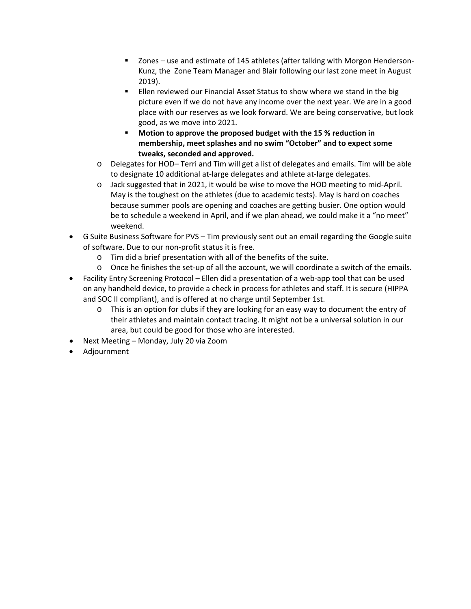- Zones use and estimate of 145 athletes (after talking with Morgon Henderson-Kunz, the Zone Team Manager and Blair following our last zone meet in August 2019).
- Ellen reviewed our Financial Asset Status to show where we stand in the big picture even if we do not have any income over the next year. We are in a good place with our reserves as we look forward. We are being conservative, but look good, as we move into 2021.
- **Motion to approve the proposed budget with the 15 % reduction in membership, meet splashes and no swim "October" and to expect some tweaks, seconded and approved.**
- o Delegates for HOD– Terri and Tim will get a list of delegates and emails. Tim will be able to designate 10 additional at-large delegates and athlete at-large delegates.
- o Jack suggested that in 2021, it would be wise to move the HOD meeting to mid-April. May is the toughest on the athletes (due to academic tests). May is hard on coaches because summer pools are opening and coaches are getting busier. One option would be to schedule a weekend in April, and if we plan ahead, we could make it a "no meet" weekend.
- G Suite Business Software for PVS Tim previously sent out an email regarding the Google suite of software. Due to our non-profit status it is free.
	- o Tim did a brief presentation with all of the benefits of the suite.
	- o Once he finishes the set-up of all the account, we will coordinate a switch of the emails.
- Facility Entry Screening Protocol Ellen did a presentation of a web-app tool that can be used on any handheld device, to provide a check in process for athletes and staff. It is secure (HIPPA and SOC II compliant), and is offered at no charge until September 1st.
	- $\circ$  This is an option for clubs if they are looking for an easy way to document the entry of their athletes and maintain contact tracing. It might not be a universal solution in our area, but could be good for those who are interested.
- Next Meeting Monday, July 20 via Zoom
- Adjournment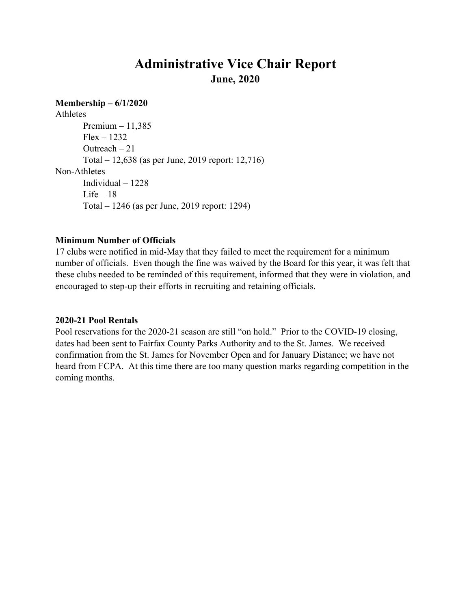### **Administrative Vice Chair Report June, 2020**

#### **Membership – 6/1/2020**

Athletes Premium – 11,385  $Flex - 1232$  Outreach – 21 Total – 12,638 (as per June, 2019 report: 12,716) Non-Athletes Individual – 1228 Life  $-18$ Total – 1246 (as per June, 2019 report: 1294)

#### **Minimum Number of Officials**

17 clubs were notified in mid-May that they failed to meet the requirement for a minimum number of officials. Even though the fine was waived by the Board for this year, it was felt that these clubs needed to be reminded of this requirement, informed that they were in violation, and encouraged to step-up their efforts in recruiting and retaining officials.

#### **2020-21 Pool Rentals**

Pool reservations for the 2020-21 season are still "on hold." Prior to the COVID-19 closing, dates had been sent to Fairfax County Parks Authority and to the St. James. We received confirmation from the St. James for November Open and for January Distance; we have not heard from FCPA. At this time there are too many question marks regarding competition in the coming months.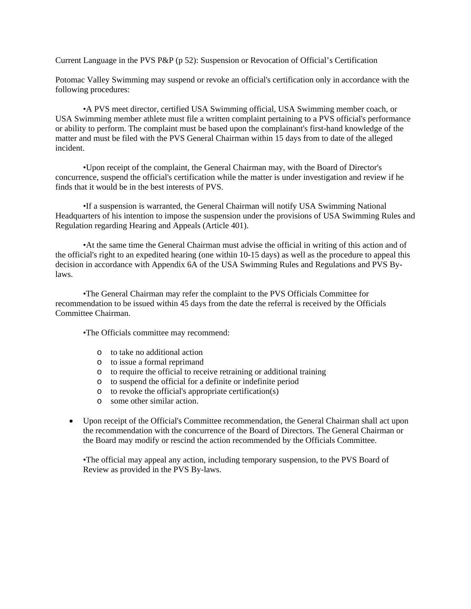Current Language in the PVS P&P (p 52): Suspension or Revocation of Official's Certification

Potomac Valley Swimming may suspend or revoke an official's certification only in accordance with the following procedures:

•A PVS meet director, certified USA Swimming official, USA Swimming member coach, or USA Swimming member athlete must file a written complaint pertaining to a PVS official's performance or ability to perform. The complaint must be based upon the complainant's first-hand knowledge of the matter and must be filed with the PVS General Chairman within 15 days from to date of the alleged incident.

•Upon receipt of the complaint, the General Chairman may, with the Board of Director's concurrence, suspend the official's certification while the matter is under investigation and review if he finds that it would be in the best interests of PVS.

•If a suspension is warranted, the General Chairman will notify USA Swimming National Headquarters of his intention to impose the suspension under the provisions of USA Swimming Rules and Regulation regarding Hearing and Appeals (Article 401).

•At the same time the General Chairman must advise the official in writing of this action and of the official's right to an expedited hearing (one within 10-15 days) as well as the procedure to appeal this decision in accordance with Appendix 6A of the USA Swimming Rules and Regulations and PVS Bylaws.

•The General Chairman may refer the complaint to the PVS Officials Committee for recommendation to be issued within 45 days from the date the referral is received by the Officials Committee Chairman.

•The Officials committee may recommend:

- o to take no additional action
- o to issue a formal reprimand
- o to require the official to receive retraining or additional training
- o to suspend the official for a definite or indefinite period
- $\circ$  to revoke the official's appropriate certification(s)
- o some other similar action.
- Upon receipt of the Official's Committee recommendation, the General Chairman shall act upon the recommendation with the concurrence of the Board of Directors. The General Chairman or the Board may modify or rescind the action recommended by the Officials Committee.

•The official may appeal any action, including temporary suspension, to the PVS Board of Review as provided in the PVS By-laws.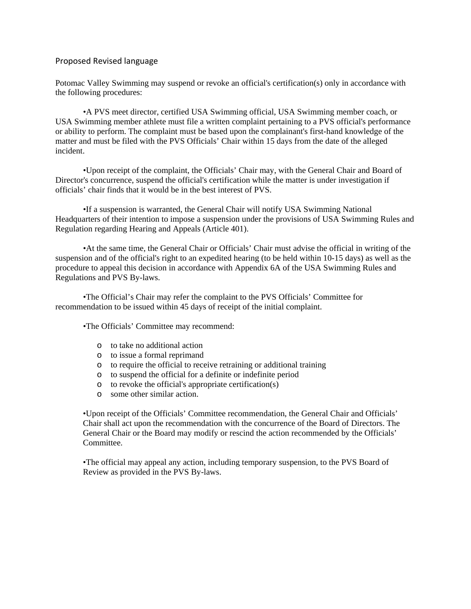#### Proposed Revised language

Potomac Valley Swimming may suspend or revoke an official's certification(s) only in accordance with the following procedures:

•A PVS meet director, certified USA Swimming official, USA Swimming member coach, or USA Swimming member athlete must file a written complaint pertaining to a PVS official's performance or ability to perform. The complaint must be based upon the complainant's first-hand knowledge of the matter and must be filed with the PVS Officials' Chair within 15 days from the date of the alleged incident.

•Upon receipt of the complaint, the Officials' Chair may, with the General Chair and Board of Director's concurrence, suspend the official's certification while the matter is under investigation if officials' chair finds that it would be in the best interest of PVS.

•If a suspension is warranted, the General Chair will notify USA Swimming National Headquarters of their intention to impose a suspension under the provisions of USA Swimming Rules and Regulation regarding Hearing and Appeals (Article 401).

•At the same time, the General Chair or Officials' Chair must advise the official in writing of the suspension and of the official's right to an expedited hearing (to be held within 10-15 days) as well as the procedure to appeal this decision in accordance with Appendix 6A of the USA Swimming Rules and Regulations and PVS By-laws.

•The Official's Chair may refer the complaint to the PVS Officials' Committee for recommendation to be issued within 45 days of receipt of the initial complaint.

•The Officials' Committee may recommend:

- o to take no additional action
- o to issue a formal reprimand
- o to require the official to receive retraining or additional training
- o to suspend the official for a definite or indefinite period
- o to revoke the official's appropriate certification(s)
- o some other similar action.

•Upon receipt of the Officials' Committee recommendation, the General Chair and Officials' Chair shall act upon the recommendation with the concurrence of the Board of Directors. The General Chair or the Board may modify or rescind the action recommended by the Officials' Committee.

•The official may appeal any action, including temporary suspension, to the PVS Board of Review as provided in the PVS By-laws.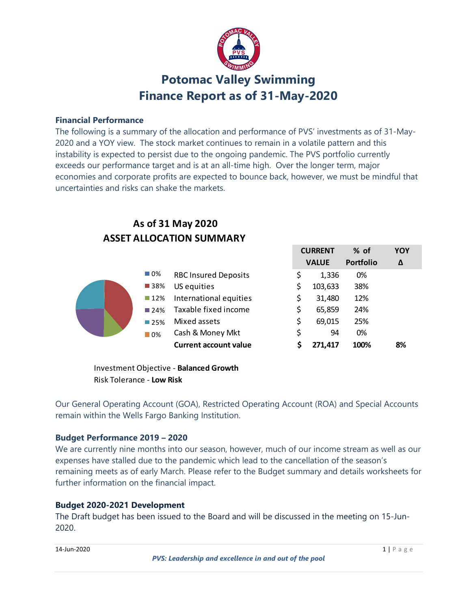

### Potomac Valley Swimming Finance Report as of 31-May-2020

#### Financial Performance

The following is a summary of the allocation and performance of PVS' investments as of 31-May-2020 and a YOY view. The stock market continues to remain in a volatile pattern and this instability is expected to persist due to the ongoing pandemic. The PVS portfolio currently exceeds our performance target and is at an all-time high. Over the longer term, major economies and corporate profits are expected to bounce back, however, we must be mindful that uncertainties and risks can shake the markets.

### ASSET ALLOCATION SUMMARY As of 31 May 2020

| <b>Finance Report as of 31-May-2020</b><br>cial Performance<br>bllowing is a summary of the allocation and performance of PVS' investments as of 31-May-<br>and a YOY view. The stock market continues to remain in a volatile pattern and this<br>ility is expected to persist due to the ongoing pandemic. The PVS portfolio currently<br>ds our performance target and is at an all-time high. Over the longer term, major<br>mies and corporate profits are expected to bounce back, however, we must be mindful that<br>tainties and risks can shake the markets.<br>As of 31 May 2020<br><b>ASSET ALLOCATION SUMMARY</b><br><b>CURRENT</b><br>% of<br>YOY<br><b>VALUE</b><br>Portfolio<br>$\Delta$<br>$\Box$ 0%<br><b>RBC Insured Deposits</b><br>0%<br>1,336<br>S<br>■38%<br>US equities<br>103,633<br>38%<br>International equities<br>12%<br>$\blacksquare$ 12%<br>31,480<br>Taxable fixed income<br>\$<br>24%<br>65,859<br>$\blacksquare$ 24%<br>\$<br>Mixed assets<br>69,015<br>25%<br>■25%<br>\$<br>Cash & Money Mkt<br>94<br>0%<br>$\blacksquare$ 0% |  | Protoniac validy Swimming |  |  |
|-------------------------------------------------------------------------------------------------------------------------------------------------------------------------------------------------------------------------------------------------------------------------------------------------------------------------------------------------------------------------------------------------------------------------------------------------------------------------------------------------------------------------------------------------------------------------------------------------------------------------------------------------------------------------------------------------------------------------------------------------------------------------------------------------------------------------------------------------------------------------------------------------------------------------------------------------------------------------------------------------------------------------------------------------------------------|--|---------------------------|--|--|
|                                                                                                                                                                                                                                                                                                                                                                                                                                                                                                                                                                                                                                                                                                                                                                                                                                                                                                                                                                                                                                                                   |  |                           |  |  |
|                                                                                                                                                                                                                                                                                                                                                                                                                                                                                                                                                                                                                                                                                                                                                                                                                                                                                                                                                                                                                                                                   |  |                           |  |  |
|                                                                                                                                                                                                                                                                                                                                                                                                                                                                                                                                                                                                                                                                                                                                                                                                                                                                                                                                                                                                                                                                   |  |                           |  |  |
|                                                                                                                                                                                                                                                                                                                                                                                                                                                                                                                                                                                                                                                                                                                                                                                                                                                                                                                                                                                                                                                                   |  |                           |  |  |
|                                                                                                                                                                                                                                                                                                                                                                                                                                                                                                                                                                                                                                                                                                                                                                                                                                                                                                                                                                                                                                                                   |  |                           |  |  |
|                                                                                                                                                                                                                                                                                                                                                                                                                                                                                                                                                                                                                                                                                                                                                                                                                                                                                                                                                                                                                                                                   |  |                           |  |  |
|                                                                                                                                                                                                                                                                                                                                                                                                                                                                                                                                                                                                                                                                                                                                                                                                                                                                                                                                                                                                                                                                   |  |                           |  |  |
|                                                                                                                                                                                                                                                                                                                                                                                                                                                                                                                                                                                                                                                                                                                                                                                                                                                                                                                                                                                                                                                                   |  |                           |  |  |
|                                                                                                                                                                                                                                                                                                                                                                                                                                                                                                                                                                                                                                                                                                                                                                                                                                                                                                                                                                                                                                                                   |  |                           |  |  |
|                                                                                                                                                                                                                                                                                                                                                                                                                                                                                                                                                                                                                                                                                                                                                                                                                                                                                                                                                                                                                                                                   |  |                           |  |  |
|                                                                                                                                                                                                                                                                                                                                                                                                                                                                                                                                                                                                                                                                                                                                                                                                                                                                                                                                                                                                                                                                   |  |                           |  |  |
|                                                                                                                                                                                                                                                                                                                                                                                                                                                                                                                                                                                                                                                                                                                                                                                                                                                                                                                                                                                                                                                                   |  |                           |  |  |
|                                                                                                                                                                                                                                                                                                                                                                                                                                                                                                                                                                                                                                                                                                                                                                                                                                                                                                                                                                                                                                                                   |  |                           |  |  |
|                                                                                                                                                                                                                                                                                                                                                                                                                                                                                                                                                                                                                                                                                                                                                                                                                                                                                                                                                                                                                                                                   |  |                           |  |  |
|                                                                                                                                                                                                                                                                                                                                                                                                                                                                                                                                                                                                                                                                                                                                                                                                                                                                                                                                                                                                                                                                   |  |                           |  |  |
|                                                                                                                                                                                                                                                                                                                                                                                                                                                                                                                                                                                                                                                                                                                                                                                                                                                                                                                                                                                                                                                                   |  |                           |  |  |
|                                                                                                                                                                                                                                                                                                                                                                                                                                                                                                                                                                                                                                                                                                                                                                                                                                                                                                                                                                                                                                                                   |  |                           |  |  |
|                                                                                                                                                                                                                                                                                                                                                                                                                                                                                                                                                                                                                                                                                                                                                                                                                                                                                                                                                                                                                                                                   |  |                           |  |  |
|                                                                                                                                                                                                                                                                                                                                                                                                                                                                                                                                                                                                                                                                                                                                                                                                                                                                                                                                                                                                                                                                   |  |                           |  |  |
|                                                                                                                                                                                                                                                                                                                                                                                                                                                                                                                                                                                                                                                                                                                                                                                                                                                                                                                                                                                                                                                                   |  |                           |  |  |
| <b>Current account value</b><br>8%<br>271,417<br>100%                                                                                                                                                                                                                                                                                                                                                                                                                                                                                                                                                                                                                                                                                                                                                                                                                                                                                                                                                                                                             |  |                           |  |  |
|                                                                                                                                                                                                                                                                                                                                                                                                                                                                                                                                                                                                                                                                                                                                                                                                                                                                                                                                                                                                                                                                   |  |                           |  |  |
| Investment Objective - Balanced Growth                                                                                                                                                                                                                                                                                                                                                                                                                                                                                                                                                                                                                                                                                                                                                                                                                                                                                                                                                                                                                            |  |                           |  |  |
| <b>Risk Tolerance - Low Risk</b>                                                                                                                                                                                                                                                                                                                                                                                                                                                                                                                                                                                                                                                                                                                                                                                                                                                                                                                                                                                                                                  |  |                           |  |  |
| $\sim$ $(601)$ $\sim$ $(1.1)$ $\sim$ $(0.1)$ $(0.1)$ $(1.1)$                                                                                                                                                                                                                                                                                                                                                                                                                                                                                                                                                                                                                                                                                                                                                                                                                                                                                                                                                                                                      |  |                           |  |  |

Our General Operating Account (GOA), Restricted Operating Account (ROA) and Special Accounts remain within the Wells Fargo Banking Institution.

#### Budget Performance 2019 – 2020

We are currently nine months into our season, however, much of our income stream as well as our expenses have stalled due to the pandemic which lead to the cancellation of the season's remaining meets as of early March. Please refer to the Budget summary and details worksheets for further information on the financial impact.

#### Budget 2020-2021 Development

The Draft budget has been issued to the Board and will be discussed in the meeting on 15-Jun-2020.

**14-Jun-2020** 1 | P a g e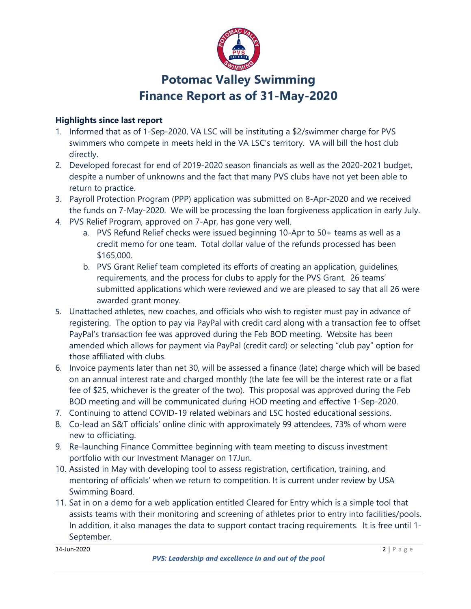

# Potomac Valley Swimming Finance Report as of 31-May-2020

#### Highlights since last report

- 1. Informed that as of 1-Sep-2020, VA LSC will be instituting a \$2/swimmer charge for PVS swimmers who compete in meets held in the VA LSC's territory. VA will bill the host club directly.
- 2. Developed forecast for end of 2019-2020 season financials as well as the 2020-2021 budget, despite a number of unknowns and the fact that many PVS clubs have not yet been able to return to practice.
- 3. Payroll Protection Program (PPP) application was submitted on 8-Apr-2020 and we received the funds on 7-May-2020. We will be processing the loan forgiveness application in early July.
- 4. PVS Relief Program, approved on 7-Apr, has gone very well.
	- a. PVS Refund Relief checks were issued beginning 10-Apr to 50+ teams as well as a credit memo for one team. Total dollar value of the refunds processed has been \$165,000.
	- b. PVS Grant Relief team completed its efforts of creating an application, guidelines, requirements, and the process for clubs to apply for the PVS Grant. 26 teams' submitted applications which were reviewed and we are pleased to say that all 26 were awarded grant money.
- 5. Unattached athletes, new coaches, and officials who wish to register must pay in advance of registering. The option to pay via PayPal with credit card along with a transaction fee to offset PayPal's transaction fee was approved during the Feb BOD meeting. Website has been amended which allows for payment via PayPal (credit card) or selecting "club pay" option for those affiliated with clubs.
- 6. Invoice payments later than net 30, will be assessed a finance (late) charge which will be based on an annual interest rate and charged monthly (the late fee will be the interest rate or a flat fee of \$25, whichever is the greater of the two). This proposal was approved during the Feb BOD meeting and will be communicated during HOD meeting and effective 1-Sep-2020.
- 7. Continuing to attend COVID-19 related webinars and LSC hosted educational sessions.
- 8. Co-lead an S&T officials' online clinic with approximately 99 attendees, 73% of whom were new to officiating.
- 9. Re-launching Finance Committee beginning with team meeting to discuss investment portfolio with our Investment Manager on 17Jun.
- 10. Assisted in May with developing tool to assess registration, certification, training, and mentoring of officials' when we return to competition. It is current under review by USA Swimming Board.
- 11. Sat in on a demo for a web application entitled Cleared for Entry which is a simple tool that assists teams with their monitoring and screening of athletes prior to entry into facilities/pools. In addition, it also manages the data to support contact tracing requirements. It is free until 1- September.